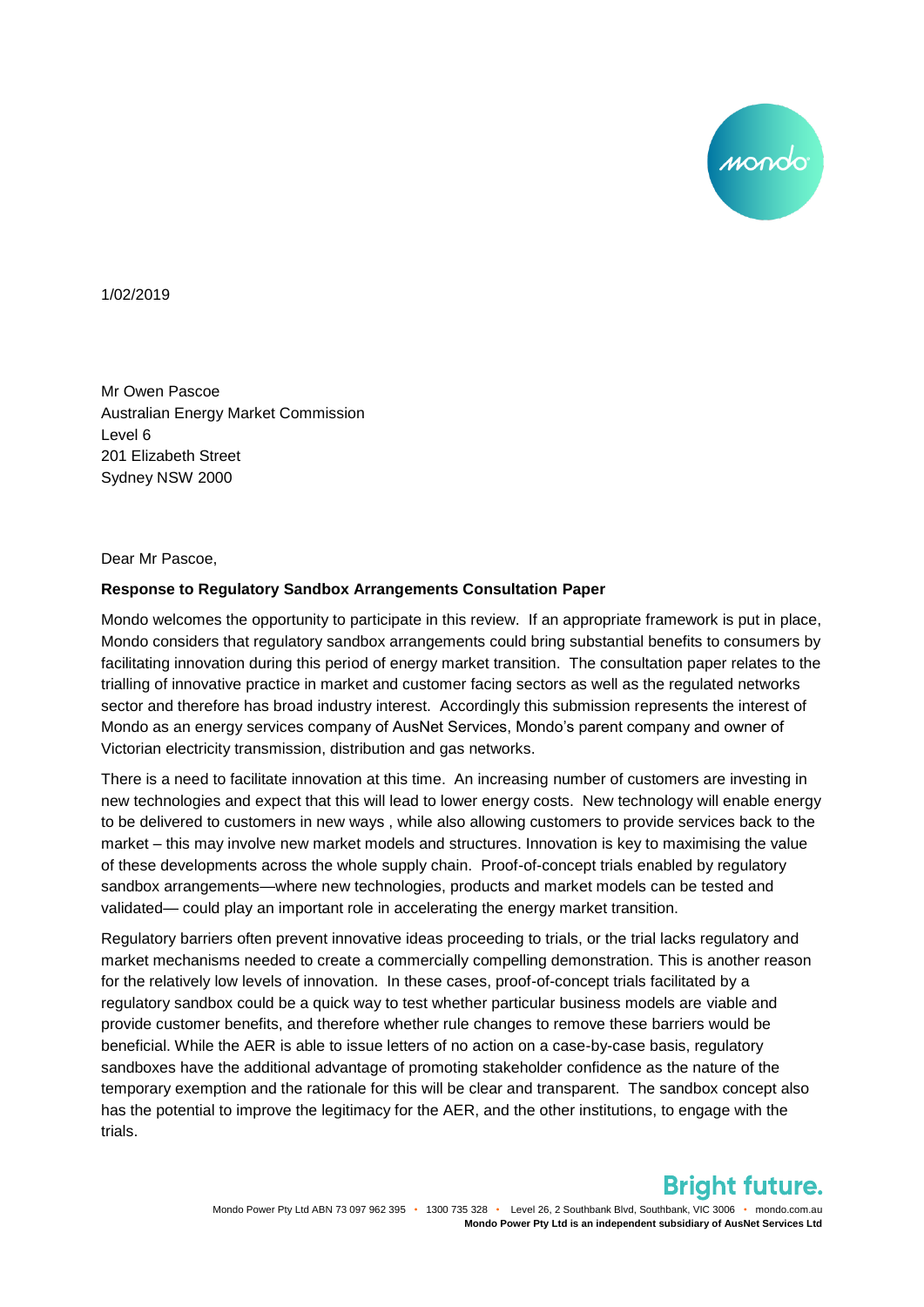mondo

1/02/2019

Mr Owen Pascoe Australian Energy Market Commission Level 6 201 Elizabeth Street Sydney NSW 2000

Dear Mr Pascoe,

## **Response to Regulatory Sandbox Arrangements Consultation Paper**

Mondo welcomes the opportunity to participate in this review. If an appropriate framework is put in place, Mondo considers that regulatory sandbox arrangements could bring substantial benefits to consumers by facilitating innovation during this period of energy market transition. The consultation paper relates to the trialling of innovative practice in market and customer facing sectors as well as the regulated networks sector and therefore has broad industry interest. Accordingly this submission represents the interest of Mondo as an energy services company of AusNet Services, Mondo's parent company and owner of Victorian electricity transmission, distribution and gas networks.

There is a need to facilitate innovation at this time. An increasing number of customers are investing in new technologies and expect that this will lead to lower energy costs. New technology will enable energy to be delivered to customers in new ways , while also allowing customers to provide services back to the market – this may involve new market models and structures. Innovation is key to maximising the value of these developments across the whole supply chain. Proof-of-concept trials enabled by regulatory sandbox arrangements—where new technologies, products and market models can be tested and validated— could play an important role in accelerating the energy market transition.

Regulatory barriers often prevent innovative ideas proceeding to trials, or the trial lacks regulatory and market mechanisms needed to create a commercially compelling demonstration. This is another reason for the relatively low levels of innovation. In these cases, proof-of-concept trials facilitated by a regulatory sandbox could be a quick way to test whether particular business models are viable and provide customer benefits, and therefore whether rule changes to remove these barriers would be beneficial. While the AER is able to issue letters of no action on a case-by-case basis, regulatory sandboxes have the additional advantage of promoting stakeholder confidence as the nature of the temporary exemption and the rationale for this will be clear and transparent. The sandbox concept also has the potential to improve the legitimacy for the AER, and the other institutions, to engage with the trials.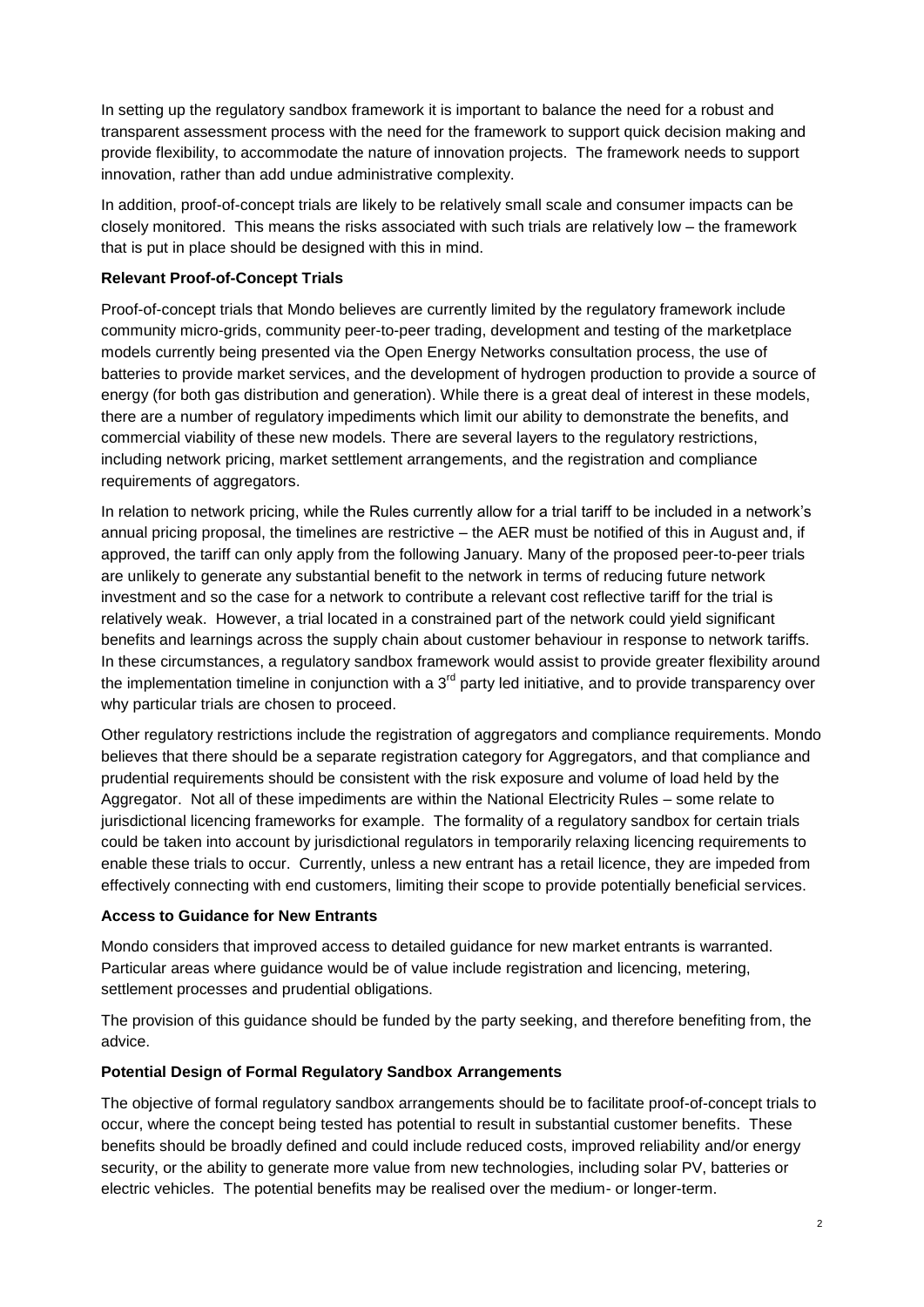In setting up the regulatory sandbox framework it is important to balance the need for a robust and transparent assessment process with the need for the framework to support quick decision making and provide flexibility, to accommodate the nature of innovation projects. The framework needs to support innovation, rather than add undue administrative complexity.

In addition, proof-of-concept trials are likely to be relatively small scale and consumer impacts can be closely monitored. This means the risks associated with such trials are relatively low – the framework that is put in place should be designed with this in mind.

## **Relevant Proof-of-Concept Trials**

Proof-of-concept trials that Mondo believes are currently limited by the regulatory framework include community micro-grids, community peer-to-peer trading, development and testing of the marketplace models currently being presented via the Open Energy Networks consultation process, the use of batteries to provide market services, and the development of hydrogen production to provide a source of energy (for both gas distribution and generation). While there is a great deal of interest in these models, there are a number of regulatory impediments which limit our ability to demonstrate the benefits, and commercial viability of these new models. There are several layers to the regulatory restrictions, including network pricing, market settlement arrangements, and the registration and compliance requirements of aggregators.

In relation to network pricing, while the Rules currently allow for a trial tariff to be included in a network's annual pricing proposal, the timelines are restrictive – the AER must be notified of this in August and, if approved, the tariff can only apply from the following January. Many of the proposed peer-to-peer trials are unlikely to generate any substantial benefit to the network in terms of reducing future network investment and so the case for a network to contribute a relevant cost reflective tariff for the trial is relatively weak. However, a trial located in a constrained part of the network could yield significant benefits and learnings across the supply chain about customer behaviour in response to network tariffs. In these circumstances, a regulatory sandbox framework would assist to provide greater flexibility around the implementation timeline in conjunction with a  $3<sup>rd</sup>$  party led initiative, and to provide transparency over why particular trials are chosen to proceed.

Other regulatory restrictions include the registration of aggregators and compliance requirements. Mondo believes that there should be a separate registration category for Aggregators, and that compliance and prudential requirements should be consistent with the risk exposure and volume of load held by the Aggregator. Not all of these impediments are within the National Electricity Rules – some relate to jurisdictional licencing frameworks for example. The formality of a regulatory sandbox for certain trials could be taken into account by jurisdictional regulators in temporarily relaxing licencing requirements to enable these trials to occur. Currently, unless a new entrant has a retail licence, they are impeded from effectively connecting with end customers, limiting their scope to provide potentially beneficial services.

## **Access to Guidance for New Entrants**

Mondo considers that improved access to detailed guidance for new market entrants is warranted. Particular areas where guidance would be of value include registration and licencing, metering, settlement processes and prudential obligations.

The provision of this guidance should be funded by the party seeking, and therefore benefiting from, the advice.

## **Potential Design of Formal Regulatory Sandbox Arrangements**

The objective of formal regulatory sandbox arrangements should be to facilitate proof-of-concept trials to occur, where the concept being tested has potential to result in substantial customer benefits. These benefits should be broadly defined and could include reduced costs, improved reliability and/or energy security, or the ability to generate more value from new technologies, including solar PV, batteries or electric vehicles. The potential benefits may be realised over the medium- or longer-term.